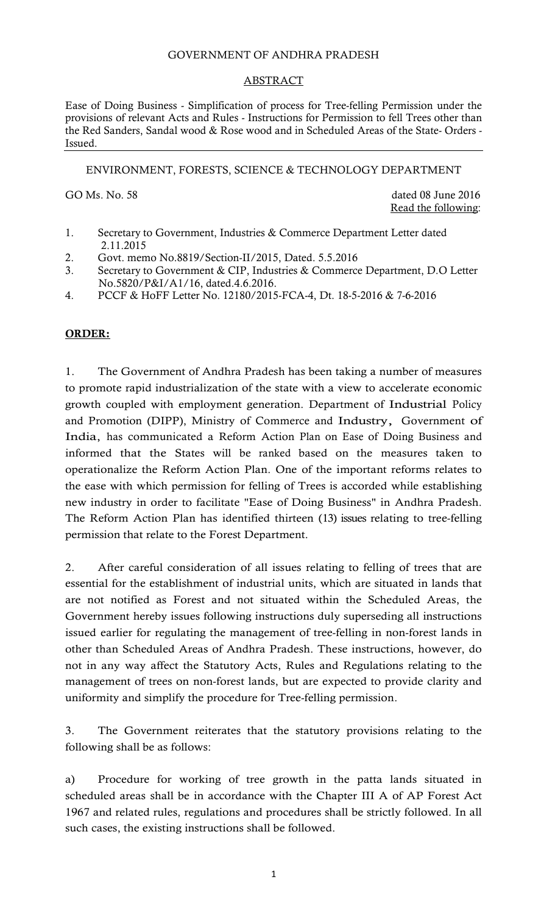## GOVERNMENT OF ANDHRA PRADESH

### ABSTRACT

Ease of Doing Business - Simplification of process for Tree-felling Permission under the provisions of relevant Acts and Rules - Instructions for Permission to fell Trees other than the Red Sanders, Sandal wood & Rose wood and in Scheduled Areas of the State- Orders - Issued.

ENVIRONMENT, FORESTS, SCIENCE & TECHNOLOGY DEPARTMENT

GO Ms. No. 58 dated 08 June 2016 Read the following:

- 1. Secretary to Government, Industries & Commerce Department Letter dated 2.11.2015
- 2. Govt. memo No.8819/Section-II/2015, Dated. 5.5.2016
- 3. Secretary to Government & CIP, Industries & Commerce Department, D.O Letter No.5820/P&I/A1/16, dated.4.6.2016.
- 4. PCCF & HoFF Letter No. 12180/2015-FCA-4, Dt. 18-5-2016 & 7-6-2016

## ORDER:

1. The Government of Andhra Pradesh has been taking a number of measures to promote rapid industrialization of the state with a view to accelerate economic growth coupled with employment generation. Department of Industrial Policy and Promotion (DIPP), Ministry of Commerce and Industry, Government of India, has communicated a Reform Action Plan on Ease of Doing Business and informed that the States will be ranked based on the measures taken to operationalize the Reform Action Plan. One of the important reforms relates to the ease with which permission for felling of Trees is accorded while establishing new industry in order to facilitate "Ease of Doing Business" in Andhra Pradesh. The Reform Action Plan has identified thirteen (13) issues relating to tree-felling permission that relate to the Forest Department.

2. After careful consideration of all issues relating to felling of trees that are essential for the establishment of industrial units, which are situated in lands that are not notified as Forest and not situated within the Scheduled Areas, the Government hereby issues following instructions duly superseding all instructions issued earlier for regulating the management of tree-felling in non-forest lands in other than Scheduled Areas of Andhra Pradesh. These instructions, however, do not in any way affect the Statutory Acts, Rules and Regulations relating to the management of trees on non-forest lands, but are expected to provide clarity and uniformity and simplify the procedure for Tree-felling permission.

3. The Government reiterates that the statutory provisions relating to the following shall be as follows:

a) Procedure for working of tree growth in the patta lands situated in scheduled areas shall be in accordance with the Chapter III A of AP Forest Act 1967 and related rules, regulations and procedures shall be strictly followed. In all such cases, the existing instructions shall be followed.

1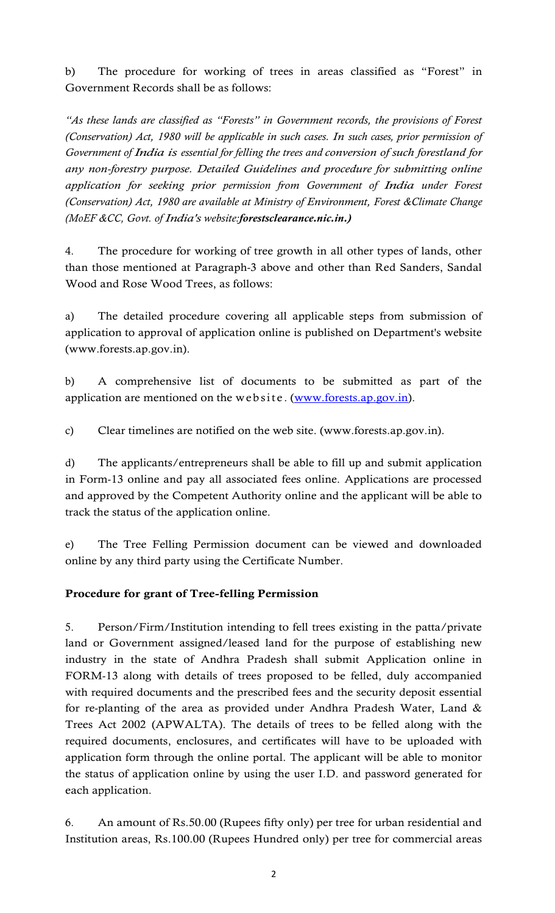b) The procedure for working of trees in areas classified as "Forest" in Government Records shall be as follows:

"As these lands are classified as "Forests" in Government records, the provisions of Forest (Conservation) Act, 1980 will be applicable in such cases. In such cases, prior permission of Government of India is essential for felling the trees and conversion of such forestland for any non-forestry purpose. Detailed Guidelines and procedure for submitting online application for seeking prior permission from Government of India under Forest (Conservation) Act, 1980 are available at Ministry of Environment, Forest &Climate Change (MoEF &CC, Govt. of India's website:forestsclearance.nic.in.) any non-forestry purpose. Detailed Guidelines and procedure for submitting online application for seeking prior permission from Government of India under Forest (Conservation) Act, 1980 are available at Ministry of Environ

4. The procedure for working of tree growth in all other types of lands, other than those mentioned at Paragraph-3 above and other than Red Sanders, Sandal Wood and Rose Wood Trees, as follows:

a) The detailed procedure covering all applicable steps from submission of application to approval of application online is published on Department's website (www.forests.ap.gov.in).

b) A comprehensive list of documents to be submitted as part of the

c) Clear timelines are notified on the web site. (www.forests.ap.gov.in).

d) The applicants/entrepreneurs shall be able to fill up and submit application in Form-13 online and pay all associated fees online. Applications are processed and approved by the Competent Authority online and the applicant will be able to track the status of the application online.

e) The Tree Felling Permission document can be viewed and downloaded online by any third party using the Certificate Number.

# Procedure for grant of Tree-felling Permission

5. Person/Firm/Institution intending to fell trees existing in the patta/private land or Government assigned/leased land for the purpose of establishing new industry in the state of Andhra Pradesh shall submit Application online in FORM-13 along with details of trees proposed to be felled, duly accompanied with required documents and the prescribed fees and the security deposit essential for re-planting of the area as provided under Andhra Pradesh Water, Land & Trees Act 2002 (APWALTA). The details of trees to be felled along with the required documents, enclosures, and certificates will have to be uploaded with application form through the online portal. The applicant will be able to monitor the status of application online by using the user I.D. and password generated for each application.

6. An amount of Rs.50.00 (Rupees fifty only) per tree for urban residential and Institution areas, Rs.100.00 (Rupees Hundred only) per tree for commercial areas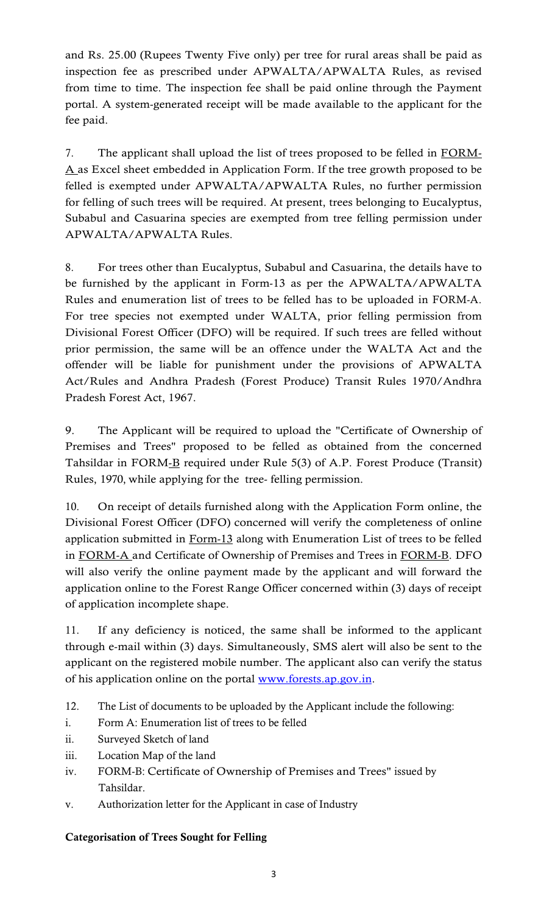and Rs. 25.00 (Rupees Twenty Five only) per tree for rural areas shall be paid as inspection fee as prescribed under APWALTA/APWALTA Rules, as revised from time to time. The inspection fee shall be paid online through the Payment portal. A system-generated receipt will be made available to the applicant for the fee paid.

7. The applicant shall upload the list of trees proposed to be felled in FORM-A as Excel sheet embedded in Application Form. If the tree growth proposed to be felled is exempted under APWALTA/APWALTA Rules, no further permission for felling of such trees will be required. At present, trees belonging to Eucalyptus, Subabul and Casuarina species are exempted from tree felling permission under APWALTA/APWALTA Rules.

8. For trees other than Eucalyptus, Subabul and Casuarina, the details have to be furnished by the applicant in Form-13 as per the APWALTA/APWALTA Rules and enumeration list of trees to be felled has to be uploaded in FORM-A. For tree species not exempted under WALTA, prior felling permission from Divisional Forest Officer (DFO) will be required. If such trees are felled without prior permission, the same will be an offence under the WALTA Act and the offender will be liable for punishment under the provisions of APWALTA Act/Rules and Andhra Pradesh (Forest Produce) Transit Rules 1970/Andhra Pradesh Forest Act, 1967. 8. For trees other than Eucalyptus, Subabul and Casuarina, the details have to<br>be furnished by the applicant in Form-13 as per the APWALTA/APWALTA<br>Rules and enumeration list of trees to be felled has to be uploaded in FORM

9. The Applicant will be required to upload the "Certificate of Ownership of Premises and Trees" proposed to be felled as obtained from the concerned Tahsildar in FORM-B required under Rule 5(3) of A.P. Forest Produce (Transit)

10. On receipt of details furnished along with the Application Form online, the Divisional Forest Officer (DFO) concerned will verify the completeness of online application submitted in Form-13 along with Enumeration List of trees to be felled in FORM-A and Certificate of Ownership of Premises and Trees in FORM-B. DFO will also verify the online payment made by the applicant and will forward the application online to the Forest Range Officer concerned within (3) days of receipt of application incomplete shape.

11. If any deficiency is noticed, the same shall be informed to the applicant through e-mail within (3) days. Simultaneously, SMS alert will also be sent to the applicant on the registered mobile number. The applicant also can verify the status of his application online on the portal www.forests.ap.gov.in.

- 12. The List of documents to be uploaded by the Applicant include the following:
- i. Form A: Enumeration list of trees to be felled
- ii. Surveyed Sketch of land
- iii. Location Map of the land
- iv. FORM-B: Certificate of Ownership of Premises and Trees" issued by Tahsildar.
- v. Authorization letter for the Applicant in case of Industry

## Categorisation of Trees Sought for Felling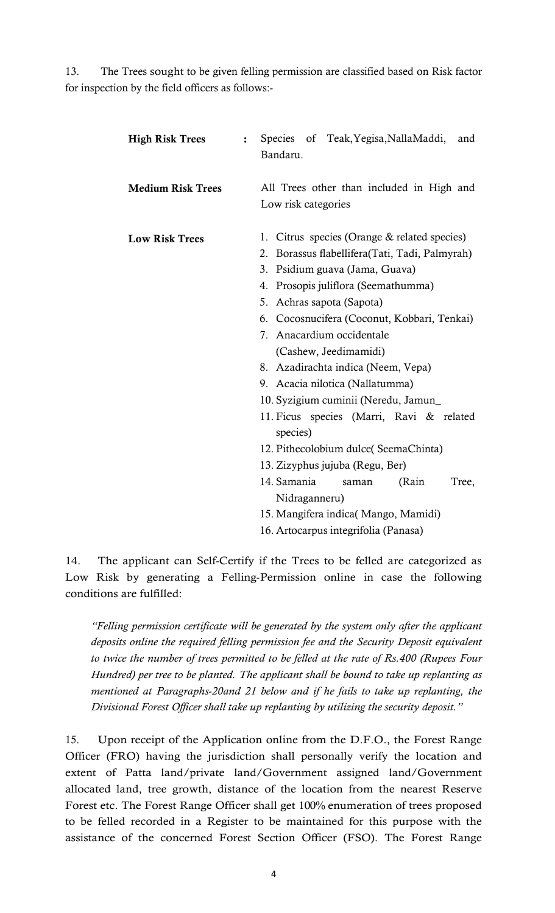13. The Trees sought to be given felling permission are classified based on Risk factor for inspection by the field officers as follows:-

| <b>High Risk Trees</b>   | $\ddot{\cdot}$ | Species of Teak, Yegisa, NallaMaddi,<br>and<br>Bandaru.                                                                                                                                                                                                                                                                                                                                                                                                                                                                                                                                                                                                                                                      |
|--------------------------|----------------|--------------------------------------------------------------------------------------------------------------------------------------------------------------------------------------------------------------------------------------------------------------------------------------------------------------------------------------------------------------------------------------------------------------------------------------------------------------------------------------------------------------------------------------------------------------------------------------------------------------------------------------------------------------------------------------------------------------|
| <b>Medium Risk Trees</b> |                | All Trees other than included in High and<br>Low risk categories                                                                                                                                                                                                                                                                                                                                                                                                                                                                                                                                                                                                                                             |
| <b>Low Risk Trees</b>    |                | 1. Citrus species (Orange & related species)<br>Borassus flabellifera (Tati, Tadi, Palmyrah)<br>2.<br>3. Psidium guava (Jama, Guava)<br>4. Prosopis juliflora (Seemathumma)<br>5. Achras sapota (Sapota)<br>6. Cocosnucifera (Coconut, Kobbari, Tenkai)<br>7. Anacardium occidentale<br>(Cashew, Jeedimamidi)<br>8. Azadirachta indica (Neem, Vepa)<br>9. Acacia nilotica (Nallatumma)<br>10. Syzigium cuminii (Neredu, Jamun_<br>11. Ficus species (Marri, Ravi & related<br>species)<br>12. Pithecolobium dulce(SeemaChinta)<br>13. Zizyphus jujuba (Regu, Ber)<br>14. Samania<br>(Rain<br>Tree,<br>saman<br>Nidraganneru)<br>15. Mangifera indica( Mango, Mamidi)<br>16. Artocarpus integrifolia (Panasa) |

14. The applicant can Self-Certify if the Trees to be felled are categorized as Low Risk by generating a Felling-Permission online in case the following conditions are fulfilled:

"Felling permission certificate will be generated by the system only after the applicant deposits online the required felling permission fee and the Security Deposit equivalent to twice the number of trees permitted to be felled at the rate of Rs.400 (Rupees Four Hundred) per tree to be planted. The applicant shall be bound to take up replanting as mentioned at Paragraphs-20and 21 below and if he fails to take up replanting, the Divisional Forest Officer shall take up replanting by utilizing the security deposit."

15. Upon receipt of the Application online from the D.F.O., the Forest Range Officer (FRO) having the jurisdiction shall personally verify the location and extent of Patta land/private land/Government assigned land/Government allocated land, tree growth, distance of the location from the nearest Reserve Forest etc. The Forest Range Officer shall get 100% enumeration of trees proposed to be felled recorded in a Register to be maintained for this purpose with the assistance of the concerned Forest Section Officer (FSO). The Forest Range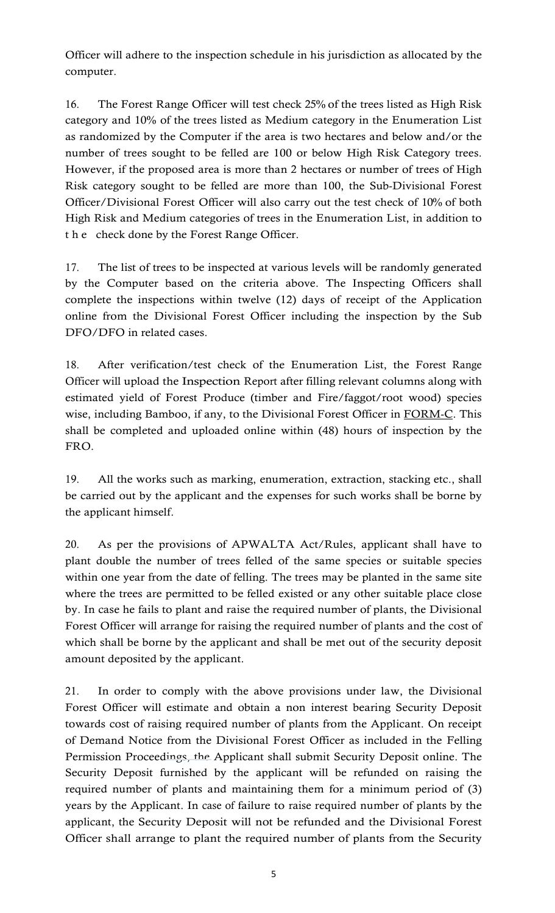Officer will adhere to the inspection schedule in his jurisdiction as allocated by the computer.

16. The Forest Range Officer will test check 25% of the trees listed as High Risk category and 10% of the trees listed as Medium category in the Enumeration List as randomized by the Computer if the area is two hectares and below and/or the number of trees sought to be felled are 100 or below High Risk Category trees. However, if the proposed area is more than 2 hectares or number of trees of High Risk category sought to be felled are more than 100, the Sub-Divisional Forest Officer/Divisional Forest Officer will also carry out the test check of 10% of both High Risk and Medium categories of trees in the Enumeration List, in addition to Officer will adhere to the inspection schedule in his jurisdiction<br>computer.<br>16. The Forest Range Officer will test check 25% of the trees<br>category and 10% of the trees listed as Medium category in the<br>as randomized by the

17. The list of trees to be inspected at various levels will be randomly generated by the Computer based on the criteria above. The Inspecting Officers shall complete the inspections within twelve (12) days of receipt of the Application online from the Divisional Forest Officer including the inspection by the Sub DFO/DFO in related cases.

18. After verification/test check of the Enumeration List, the Forest Range Officer will upload the Inspection Report after filling relevant columns along with estimated yield of Forest Produce (timber and Fire/faggot/root wood) species wise, including Bamboo, if any, to the Divisional Forest Officer in FORM-C. This shall be completed and uploaded online within (48) hours of inspection by the FRO.

19. All the works such as marking, enumeration, extraction, stacking etc., shall be carried out by the applicant and the expenses for such works shall be borne by the applicant himself.

20. As per the provisions of APWALTA Act/Rules, applicant shall have to plant double the number of trees felled of the same species or suitable species within one year from the date of felling. The trees may be planted in the same site where the trees are permitted to be felled existed or any other suitable place close by. In case he fails to plant and raise the required number of plants, the Divisional Forest Officer will arrange for raising the required number of plants and the cost of which shall be borne by the applicant and shall be met out of the security deposit amount deposited by the applicant.

21. In order to comply with the above provisions under law, the Divisional Forest Officer will estimate and obtain a non interest bearing Security Deposit towards cost of raising required number of plants from the Applicant. On receipt of Demand Notice from the Divisional Forest Officer as included in the Felling Permission Proceedings, the Applicant shall submit Security Deposit online. The Security Deposit furnished by the applicant will be refunded on raising the required number of plants and maintaining them for a minimum period of (3) years by the Applicant. In case of failure to raise required number of plants by the applicant, the Security Deposit will not be refunded and the Divisional Forest Officer shall arrange to plant the required number of plants from the Security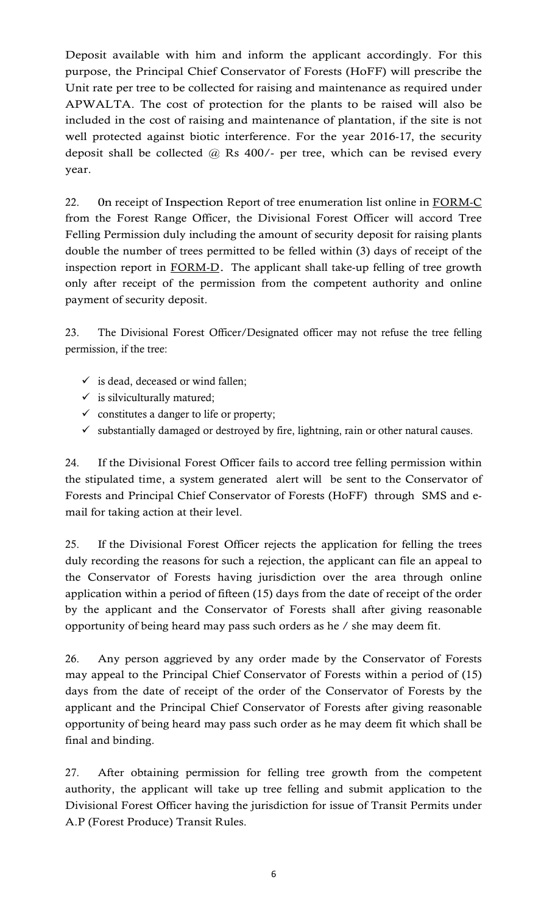Deposit available with him and inform the applicant accordingly. For this purpose, the Principal Chief Conservator of Forests (HoFF) will prescribe the Unit rate per tree to be collected for raising and maintenance as required under APWALTA. The cost of protection for the plants to be raised will also be included in the cost of raising and maintenance of plantation, if the site is not well protected against biotic interference. For the year 2016-17, the security deposit shall be collected @ Rs 400/- per tree, which can be revised every year.

22. On receipt of Inspection Report of tree enumeration list online in FORM-C from the Forest Range Officer, the Divisional Forest Officer will accord Tree Felling Permission duly including the amount of security deposit for raising plants double the number of trees permitted to be felled within (3) days of receipt of the inspection report in FORM-D. The applicant shall take-up felling of tree growth only after receipt of the permission from the competent authority and online payment of security deposit.

23. The Divisional Forest Officer/Designated officer may not refuse the tree felling permission, if the tree:

- $\checkmark$  is dead, deceased or wind fallen;
- $\checkmark$  is silviculturally matured;
- $\checkmark$  constitutes a danger to life or property;
- $\checkmark$  substantially damaged or destroyed by fire, lightning, rain or other natural causes.

24. If the Divisional Forest Officer fails to accord tree felling permission within the stipulated time, a system generated alert will be sent to the Conservator of Forests and Principal Chief Conservator of Forests (HoFF) through SMS and email for taking action at their level.

25. If the Divisional Forest Officer rejects the application for felling the trees duly recording the reasons for such a rejection, the applicant can file an appeal to the Conservator of Forests having jurisdiction over the area through online application within a period of fifteen (15) days from the date of receipt of the order by the applicant and the Conservator of Forests shall after giving reasonable opportunity of being heard may pass such orders as he / she may deem fit.

26. Any person aggrieved by any order made by the Conservator of Forests may appeal to the Principal Chief Conservator of Forests within a period of (15) days from the date of receipt of the order of the Conservator of Forests by the applicant and the Principal Chief Conservator of Forests after giving reasonable opportunity of being heard may pass such order as he may deem fit which shall be final and binding.

27. After obtaining permission for felling tree growth from the competent authority, the applicant will take up tree felling and submit application to the Divisional Forest Officer having the jurisdiction for issue of Transit Permits under A.P (Forest Produce) Transit Rules.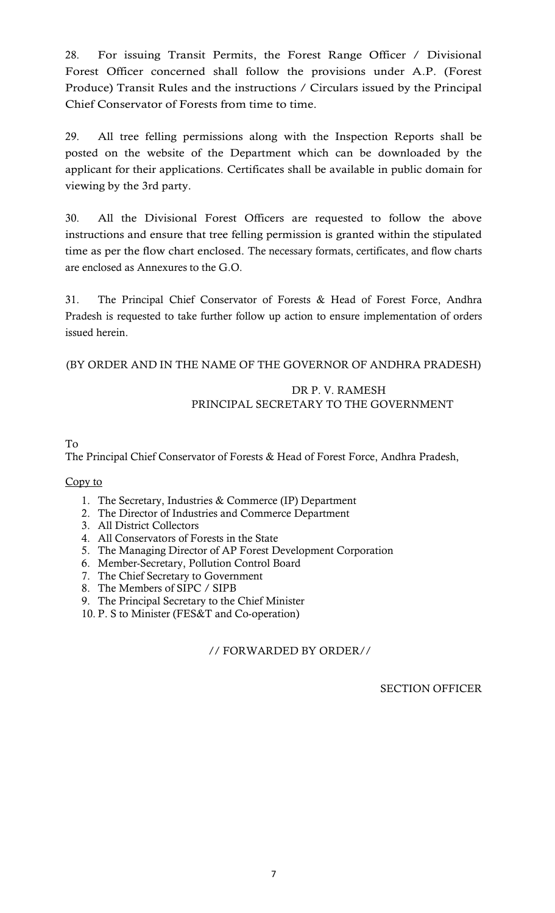28. For issuing Transit Permits, the Forest Range Officer / Divisional Forest Officer concerned shall follow the provisions under A.P. (Forest Produce) Transit Rules and the instructions / Circulars issued by the Principal Chief Conservator of Forests from time to time.

29. All tree felling permissions along with the Inspection Reports shall be posted on the website of the Department which can be downloaded by the applicant for their applications. Certificates shall be available in public domain for viewing by the 3rd party.

30. All the Divisional Forest Officers are requested to follow the above instructions and ensure that tree felling permission is granted within the stipulated time as per the flow chart enclosed. The necessary formats, certificates, and flow charts are enclosed as Annexures to the G.O.

31. The Principal Chief Conservator of Forests & Head of Forest Force, Andhra Pradesh is requested to take further follow up action to ensure implementation of orders issued herein.

(BY ORDER AND IN THE NAME OF THE GOVERNOR OF ANDHRA PRADESH)

# DR P. V. RAMESH PRINCIPAL SECRETARY TO THE GOVERNMENT

To The Principal Chief Conservator of Forests & Head of Forest Force, Andhra Pradesh,

# Copy to

- 1. The Secretary, Industries & Commerce (IP) Department
- 2. The Director of Industries and Commerce Department
- 3. All District Collectors
- 4. All Conservators of Forests in the State
- 5. The Managing Director of AP Forest Development Corporation
- 6. Member-Secretary, Pollution Control Board
- 7. The Chief Secretary to Government
- 8. The Members of SIPC / SIPB
- 9. The Principal Secretary to the Chief Minister
- 10. P. S to Minister (FES&T and Co-operation)

// FORWARDED BY ORDER//

SECTION OFFICER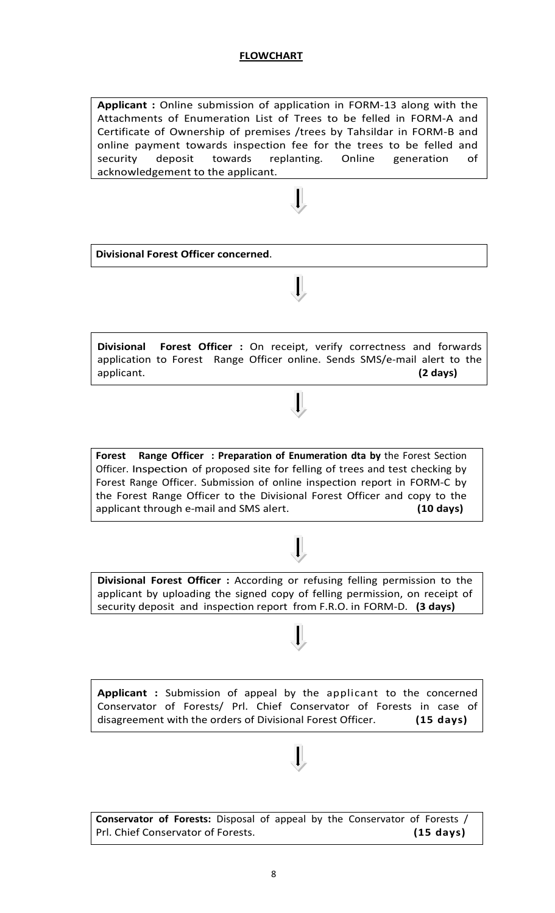### FLOWCHART

Applicant : Online submission of application in FORM-13 along with the Attachments of Enumeration List of Trees to be felled in FORM-A and Certificate of Ownership of premises /trees by Tahsildar in FORM-B and online payment towards inspection fee for the trees to be felled and security deposit towards replanting. Online generation of acknowledgement to the applicant.



Divisional Forest Officer : On receipt, verify correctness and forwards application to Forest Range Officer online. Sends SMS/e-mail alert to the  $\begin{array}{ccc} \text{application:} \end{array}$ 

Forest Range Officer : Preparation of Enumeration dta by the Forest Section Officer. Inspection of proposed site for felling of trees and test checking by Forest Range Officer. Submission of online inspection report in FORM-C by the Forest Range Officer to the Divisional Forest Officer and copy to the applicant through e-mail and SMS alert. (10 days)

Divisional Forest Officer : According or refusing felling permission to the applicant by uploading the signed copy of felling permission, on receipt of security deposit and inspection report from F.R.O. in FORM-D. (3 days)

Applicant : Submission of appeal by the applicant to the concerned Conservator of Forests/ Prl. Chief Conservator of Forests in case of disagreement with the orders of Divisional Forest Officer. (15 days)

Conservator of Forests: Disposal of appeal by the Conservator of Forests / Prl. Chief Conservator of Forests. (15 days)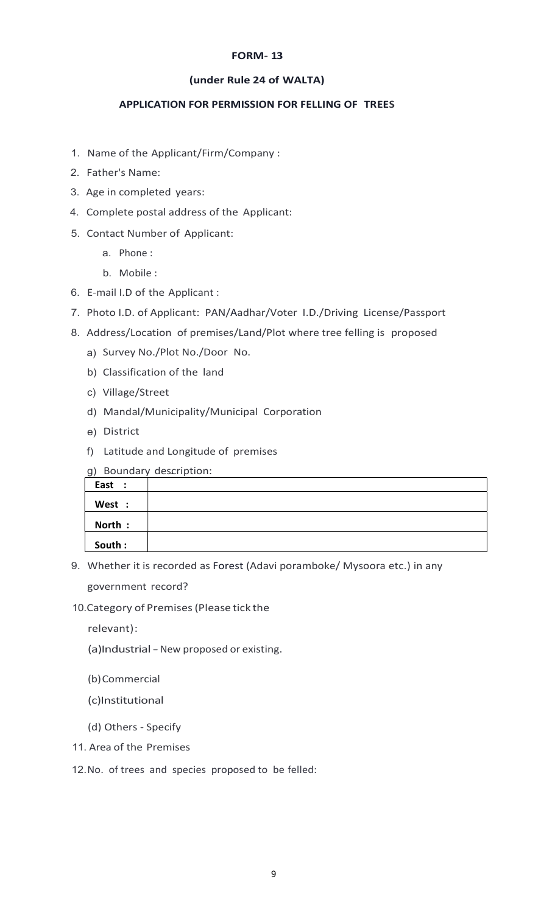#### FORM- 13

#### (under Rule 24 of WALTA)

### APPLICATION FOR PERMISSION FOR FELLING OF TREES

- 1. Name of the Applicant/Firm/Company :
- 2. Father's Name:
- 3. Age in completed years:
- 4. Complete postal address of the Applicant:
- 5. Contact Number of Applicant:
	- a. Phone :
	- b. Mobile :
- 6. E-mail I.D of the Applicant :
- 7. Photo I.D. of Applicant: PAN/Aadhar/Voter I.D./Driving License/Passport
- 8. Address/Location of premises/Land/Plot where tree felling is proposed
	- a) Survey No./Plot No./Door No.
	- b) Classification of the land
	- c) Village/Street
	- d) Mandal/Municipality/Municipal Corporation
	- e) District
	- f) Latitude and Longitude of premises
	- g) Boundary description:

| $\sim$ , |  |
|----------|--|
| East :   |  |
| West :   |  |
| North:   |  |
| South :  |  |

9. Whether it is recorded as Forest (Adavi poramboke/ Mysoora etc.) in any government record?

10. Category of Premises (Please tick the

relevant) :

(a)Industrial - New proposed or existing.

- (b) Commercial
- (c)Institutional
- (d) Others Specify
- 11. Area of the Premises
- 12. No. of trees and species proposed to be felled: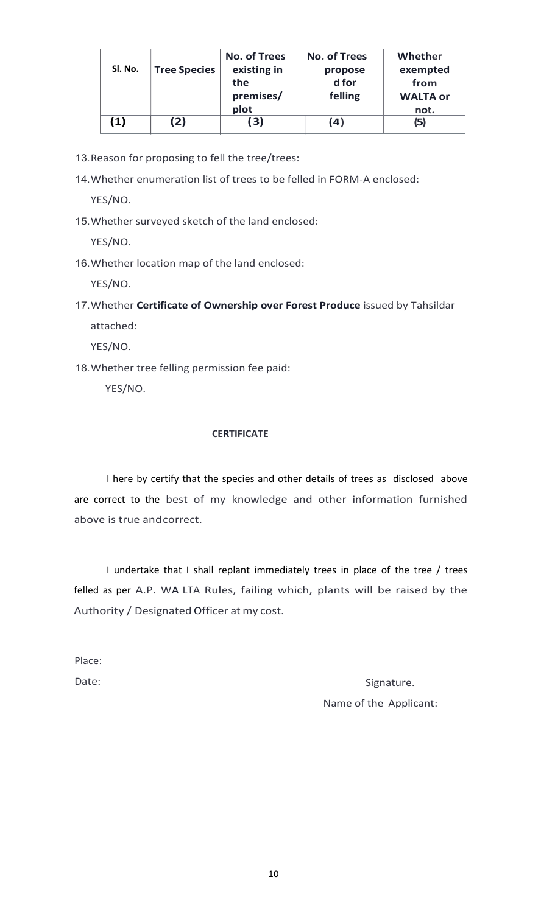| Sl. No.       | <b>Tree Species</b> | <b>No. of Trees</b><br>existing in<br>the<br>premises/<br>plot | No. of Trees<br>propose<br>d for<br>felling | Whether<br>exempted<br>from<br><b>WALTA or</b><br>not. |
|---------------|---------------------|----------------------------------------------------------------|---------------------------------------------|--------------------------------------------------------|
| $\mathbf{1)}$ | (2)                 | (3)                                                            | (4)                                         | (5)                                                    |

- 13. Reason for proposing to fell the tree/trees:
- 14. Whether enumeration list of trees to be felled in FORM-A enclosed:

YES/NO.

15. Whether surveyed sketch of the land enclosed:

YES/NO.

16. Whether location map of the land enclosed:

YES/NO.

17. Whether Certificate of Ownership over Forest Produce issued by Tahsildar attached:

YES/NO.

18. Whether tree felling permission fee paid:

YES/NO.

### **CERTIFICATE**

I here by certify that the species and other details of trees as disclosed above are correct to the best of my knowledge and other information furnished above is true and correct.

I undertake that I shall replant immediately trees in place of the tree / trees felled as per A.P. WA LTA Rules, failing which, plants will be raised by the Authority / Designated Officer at my cost.

Place:

Date: Signature. Name of the Applicant: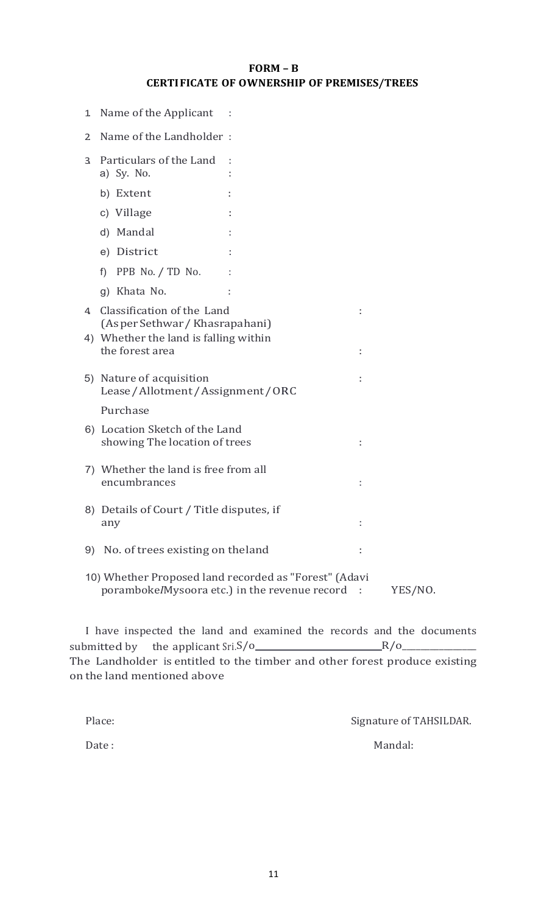# FORM – B CERTI FICATE OF OWNERSHIP OF PREMISES/TREES

| 1  | Name of the Applicant                                           |                                                                                                          |         |
|----|-----------------------------------------------------------------|----------------------------------------------------------------------------------------------------------|---------|
| 2  | Name of the Landholder:                                         |                                                                                                          |         |
| 3  | Particulars of the Land<br>a) Sy. No.                           |                                                                                                          |         |
|    | b) Extent                                                       |                                                                                                          |         |
|    | c) Village                                                      |                                                                                                          |         |
|    | d) Mandal                                                       |                                                                                                          |         |
|    | e) District                                                     |                                                                                                          |         |
|    | PPB No. / TD No.<br>$f$ )                                       |                                                                                                          |         |
|    | g) Khata No.                                                    |                                                                                                          |         |
| 4  | Classification of the Land<br>(As per Sethwar / Khasrapahani)   |                                                                                                          |         |
|    | 4) Whether the land is falling within<br>the forest area        |                                                                                                          |         |
|    | 5) Nature of acquisition<br>Lease/Allotment/Assignment/ORC      |                                                                                                          |         |
|    | Purchase                                                        |                                                                                                          |         |
|    | 6) Location Sketch of the Land<br>showing The location of trees |                                                                                                          |         |
|    | 7) Whether the land is free from all<br>encumbrances            |                                                                                                          |         |
|    | 8) Details of Court / Title disputes, if<br>any                 |                                                                                                          |         |
| 9) | No. of trees existing on the land                               |                                                                                                          |         |
|    |                                                                 | 10) Whether Proposed land recorded as "Forest" (Adavi<br>poramboke/Mysoora etc.) in the revenue record : | YES/NO. |

I have inspected the land and examined the records and the documents submitted by the applicant Sri.S/o $R/O$  R/o on the land mentioned above

| Place: | Signature of TAHSILDAR. |
|--------|-------------------------|
| Date:  | Mandal:                 |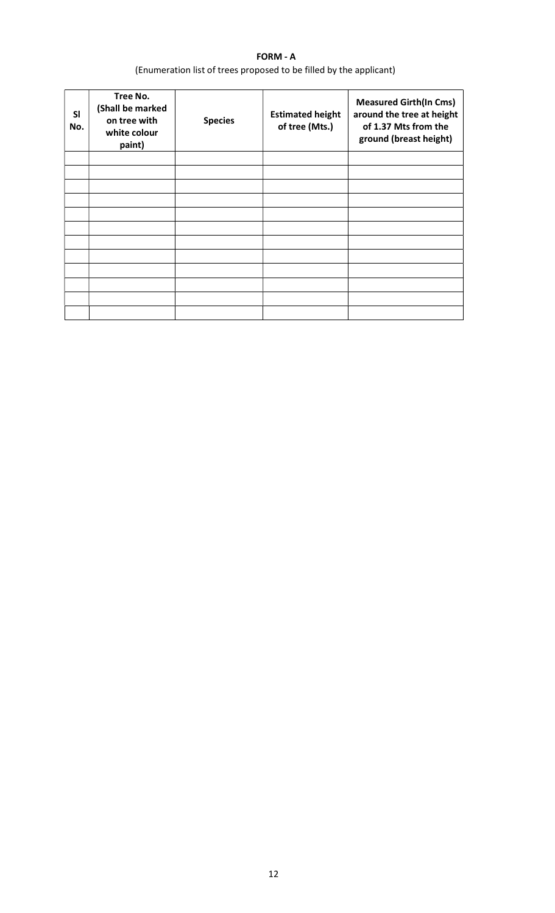# FORM - A (Enumeration list of trees proposed to be filled by the applicant)

| <b>SI</b><br>No. | Tree No.<br>(Shall be marked<br>on tree with<br>white colour<br>paint) | <b>Species</b> | <b>Estimated height</b><br>of tree (Mts.) | <b>Measured Girth(In Cms)</b><br>around the tree at height<br>of 1.37 Mts from the<br>ground (breast height) |  |  |  |
|------------------|------------------------------------------------------------------------|----------------|-------------------------------------------|--------------------------------------------------------------------------------------------------------------|--|--|--|
|                  |                                                                        |                |                                           |                                                                                                              |  |  |  |
|                  |                                                                        |                |                                           |                                                                                                              |  |  |  |
|                  |                                                                        |                |                                           |                                                                                                              |  |  |  |
|                  |                                                                        |                |                                           |                                                                                                              |  |  |  |
|                  |                                                                        |                |                                           |                                                                                                              |  |  |  |
|                  |                                                                        |                |                                           |                                                                                                              |  |  |  |
|                  |                                                                        |                |                                           |                                                                                                              |  |  |  |
|                  |                                                                        |                |                                           |                                                                                                              |  |  |  |
|                  |                                                                        |                |                                           |                                                                                                              |  |  |  |
|                  |                                                                        |                |                                           |                                                                                                              |  |  |  |
|                  |                                                                        |                |                                           |                                                                                                              |  |  |  |
|                  |                                                                        |                |                                           |                                                                                                              |  |  |  |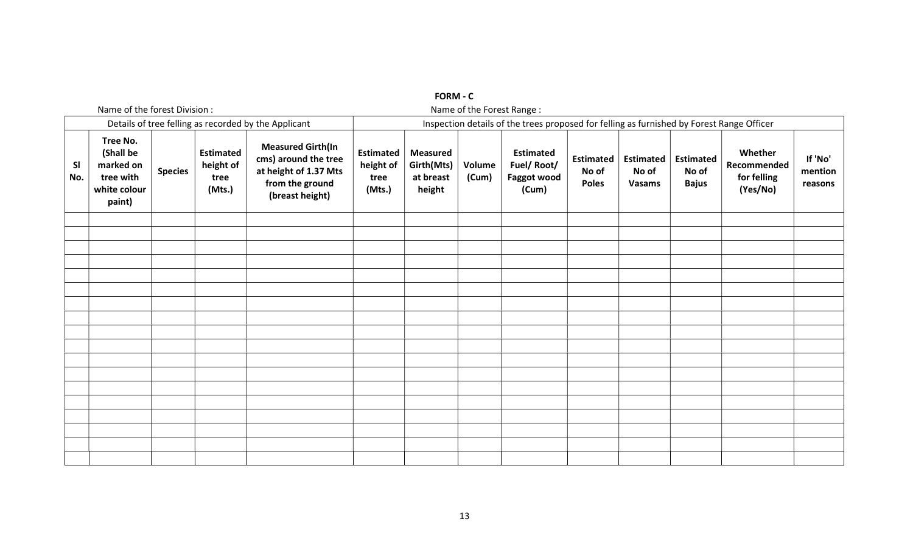|                  |                                                                                       |                |                                                 |                                                                                                                 |                                                 | $\sim$                                                                                    |                        |                                                        |                                           |                                     |                                           |                                                   |                               |  |
|------------------|---------------------------------------------------------------------------------------|----------------|-------------------------------------------------|-----------------------------------------------------------------------------------------------------------------|-------------------------------------------------|-------------------------------------------------------------------------------------------|------------------------|--------------------------------------------------------|-------------------------------------------|-------------------------------------|-------------------------------------------|---------------------------------------------------|-------------------------------|--|
|                  | Name of the forest Division :<br>Details of tree felling as recorded by the Applicant |                |                                                 |                                                                                                                 |                                                 | Name of the Forest Range:                                                                 |                        |                                                        |                                           |                                     |                                           |                                                   |                               |  |
|                  |                                                                                       |                |                                                 |                                                                                                                 |                                                 | Inspection details of the trees proposed for felling as furnished by Forest Range Officer |                        |                                                        |                                           |                                     |                                           |                                                   |                               |  |
| <b>SI</b><br>No. | Tree No.<br>(Shall be<br>marked on<br>tree with<br>white colour<br>paint)             | <b>Species</b> | <b>Estimated</b><br>height of<br>tree<br>(Mts.) | <b>Measured Girth(In</b><br>cms) around the tree<br>at height of 1.37 Mts<br>from the ground<br>(breast height) | <b>Estimated</b><br>height of<br>tree<br>(Mts.) | <b>Measured</b><br>Girth(Mts)<br>at breast<br>height                                      | <b>Volume</b><br>(Cum) | <b>Estimated</b><br>Fuel/Root/<br>Faggot wood<br>(Cum) | <b>Estimated</b><br>No of<br><b>Poles</b> | <b>Estimated</b><br>No of<br>Vasams | <b>Estimated</b><br>No of<br><b>Bajus</b> | Whether<br>Recommended<br>for felling<br>(Yes/No) | If 'No'<br>mention<br>reasons |  |
|                  |                                                                                       |                |                                                 |                                                                                                                 |                                                 |                                                                                           |                        |                                                        |                                           |                                     |                                           |                                                   |                               |  |
|                  |                                                                                       |                |                                                 |                                                                                                                 |                                                 |                                                                                           |                        |                                                        |                                           |                                     |                                           |                                                   |                               |  |
|                  |                                                                                       |                |                                                 |                                                                                                                 |                                                 |                                                                                           |                        |                                                        |                                           |                                     |                                           |                                                   |                               |  |
|                  |                                                                                       |                |                                                 |                                                                                                                 |                                                 |                                                                                           |                        |                                                        |                                           |                                     |                                           |                                                   |                               |  |
|                  |                                                                                       |                |                                                 |                                                                                                                 |                                                 |                                                                                           |                        |                                                        |                                           |                                     |                                           |                                                   |                               |  |
|                  |                                                                                       |                |                                                 |                                                                                                                 |                                                 |                                                                                           |                        |                                                        |                                           |                                     |                                           |                                                   |                               |  |
|                  |                                                                                       |                |                                                 |                                                                                                                 |                                                 |                                                                                           |                        |                                                        |                                           |                                     |                                           |                                                   |                               |  |
|                  |                                                                                       |                |                                                 |                                                                                                                 |                                                 |                                                                                           |                        |                                                        |                                           |                                     |                                           |                                                   |                               |  |
|                  |                                                                                       |                |                                                 |                                                                                                                 |                                                 |                                                                                           |                        |                                                        |                                           |                                     |                                           |                                                   |                               |  |
|                  |                                                                                       |                |                                                 |                                                                                                                 |                                                 |                                                                                           |                        |                                                        |                                           |                                     |                                           |                                                   |                               |  |
|                  |                                                                                       |                |                                                 |                                                                                                                 |                                                 |                                                                                           |                        |                                                        |                                           |                                     |                                           |                                                   |                               |  |
|                  |                                                                                       |                |                                                 |                                                                                                                 |                                                 |                                                                                           |                        |                                                        |                                           |                                     |                                           |                                                   |                               |  |
|                  |                                                                                       |                |                                                 |                                                                                                                 |                                                 |                                                                                           |                        |                                                        |                                           |                                     |                                           |                                                   |                               |  |
|                  |                                                                                       |                |                                                 |                                                                                                                 |                                                 |                                                                                           |                        |                                                        |                                           |                                     |                                           |                                                   |                               |  |
|                  |                                                                                       |                |                                                 |                                                                                                                 |                                                 |                                                                                           |                        |                                                        |                                           |                                     |                                           |                                                   |                               |  |
|                  |                                                                                       |                |                                                 |                                                                                                                 |                                                 |                                                                                           |                        |                                                        |                                           |                                     |                                           |                                                   |                               |  |
|                  |                                                                                       |                |                                                 |                                                                                                                 |                                                 |                                                                                           |                        |                                                        |                                           |                                     |                                           |                                                   |                               |  |

FORM - C